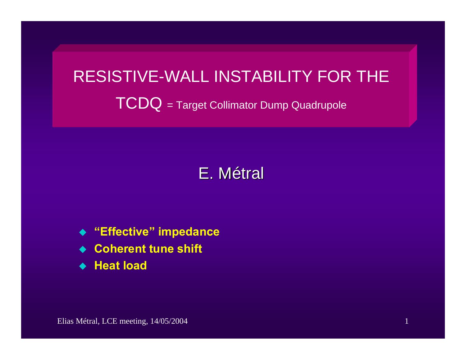# RESISTIVE-WALL INSTABILITY FOR THE TCDQ = Target Collimator Dump Quadrupole

# E. Métral

- **"Effective" impedance**
- ◆ Coherent tune shift
- **Heat load**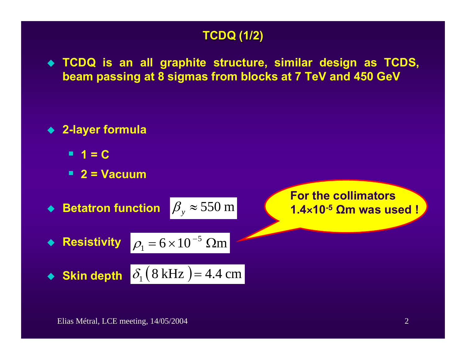## **TCDQ (1 TCDQ (1/2)**

 **TCDQ is an all graphite structure, similar design as TCDS, beam passing at 8 sigmas from blocks at 7 TeV and 450 GeV**

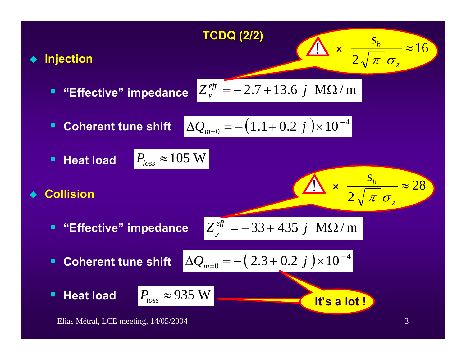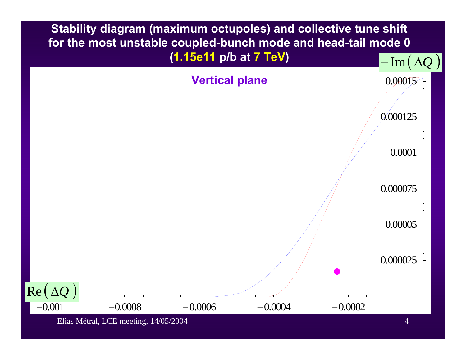

Elias Métral, LCE meeting, 14/05/2004 4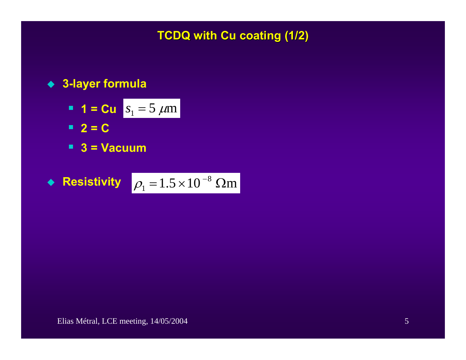**TCDQ with Cu coating (1/2) TCDQ with Cu coating (1/2)**

#### **3-layer formula**

- **1 = Cu**  $s_1 = 5 \mu m$
- $-2 = C$
- **3 = Vacuum**

• **Resistivity** 
$$
\rho_1 = 1.5 \times 10^{-8}
$$
  $\Omega$ m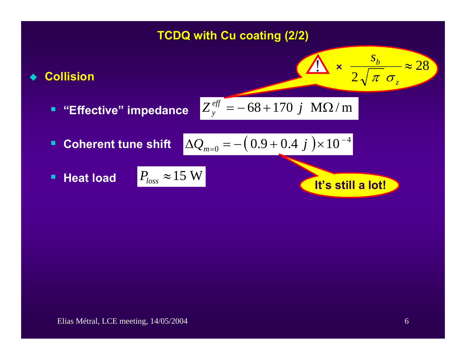## **TCDQ with Cu coating (2/2) TCDQ with Cu coating (2/2)**

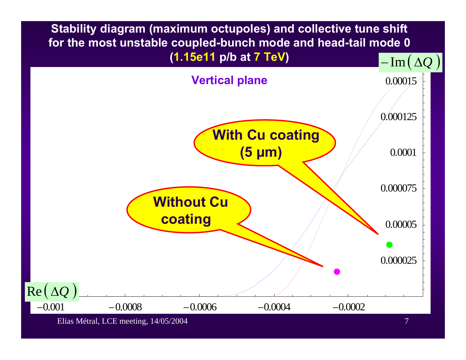**Stability diagram (maximum octupoles) and collective tune shift for the most unstable coupled-bunch mode and head-tail mode 0 (1.15e11 p/b at 7 TeV)**